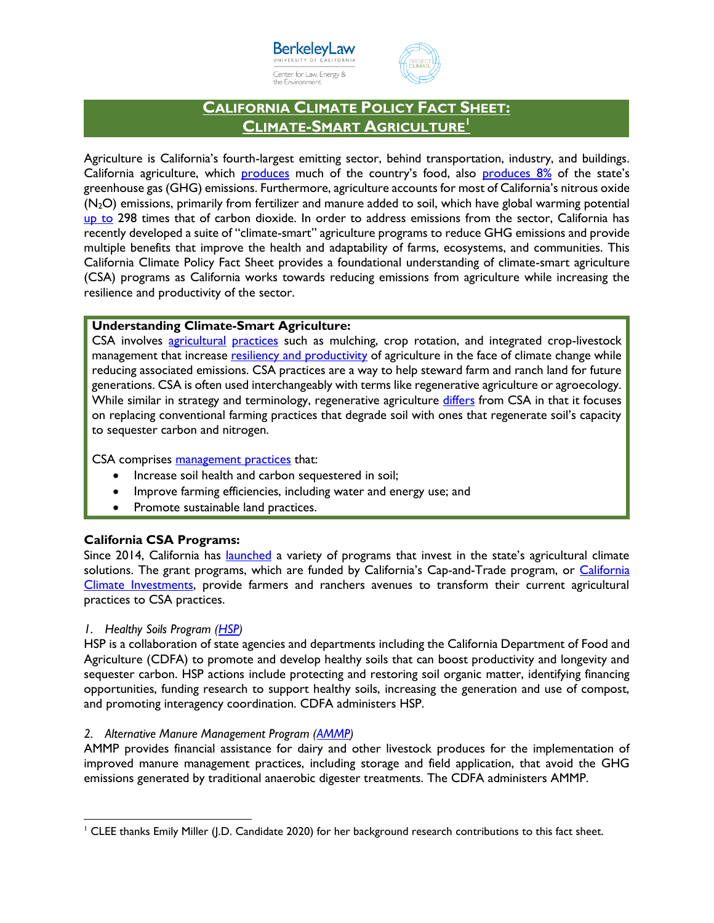



# **CALIFORNIA CLIMATE POLICY FACT SHEET: CLIMATE-SMART AGRICULTURE<sup>1</sup>**

Agriculture is California's fourth-largest emitting sector, behind transportation, industry, and buildings. California agriculture, which [produces](https://www.cdfa.ca.gov/Statistics/) much of the country's food, also [produces 8%](https://ww2.arb.ca.gov/ghg-inventory-data) of the state's greenhouse gas (GHG) emissions. Furthermore, agriculture accounts for most of California's nitrous oxide (N2O) emissions, primarily from fertilizer and manure added to soil, which have global warming potential [up to](https://ww2.arb.ca.gov/ghg-inventory-data) 298 times that of carbon dioxide. In order to address emissions from the sector, California has recently developed a suite of "climate-smart" agriculture programs to reduce GHG emissions and provide multiple benefits that improve the health and adaptability of farms, ecosystems, and communities. This California Climate Policy Fact Sheet provides a foundational understanding of climate-smart agriculture (CSA) programs as California works towards reducing emissions from agriculture while increasing the resilience and productivity of the sector.

# **Understanding Climate-Smart Agriculture:**

CSA involves [agricultural](http://ceventura.ucanr.edu/Com_Ag/Climate_Smart_Agriculture/) [practices](https://www.worldbank.org/content/dam/Worldbank/document/CSA_Brochure_web_WB.pdf) such as mulching, crop rotation, and integrated crop-livestock management that increase [resiliency and productivity](https://sites.tufts.edu/gdae/files/2019/10/ClimatePolicyBrief9.pdf) of agriculture in the face of climate change while reducing associated emissions. CSA practices are a way to help steward farm and ranch land for future generations. CSA is often used interchangeably with terms like regenerative agriculture or agroecology. While similar in strategy and terminology, regenerative agriculture <u>differs</u> from CSA in that it focuses on replacing conventional farming practices that degrade soil with ones that regenerate soil's capacity to sequester carbon and nitrogen.

CSA comprises [management practices](http://ciwr.ucanr.edu/Programs/ClimateSmartAg/) that:

- Increase soil health and carbon sequestered in soil;
- Improve farming efficiencies, including water and energy use; and
- Promote sustainable land practices.

# **California CSA Programs:**

Since 2014, California has [launched](http://calclimateag.org/wp-content/uploads/2018/03/CSA-fact-sheets-2018.pdf) a variety of programs that invest in the state's agricultural climate solutions. The grant programs, which are funded by California's Cap-and-Trade program, or California [Climate Investments,](http://www.caclimateinvestments.ca.gov/) provide farmers and ranchers avenues to transform their current agricultural practices to CSA practices.

#### *1. Healthy Soils Program [\(HSP\)](https://www.cdfa.ca.gov/oefi/healthysoils/)*

HSP is a collaboration of state agencies and departments including the California Department of Food and Agriculture (CDFA) to promote and develop healthy soils that can boost productivity and longevity and sequester carbon. HSP actions include protecting and restoring soil organic matter, identifying financing opportunities, funding research to support healthy soils, increasing the generation and use of compost, and promoting interagency coordination. CDFA administers HSP.

#### 2. Alternative Manure Management Program [\(AMMP\)](https://www.cdfa.ca.gov/oefi/AMMP/)

AMMP provides financial assistance for dairy and other livestock produces for the implementation of improved manure management practices, including storage and field application, that avoid the GHG emissions generated by traditional anaerobic digester treatments. The CDFA administers AMMP.

 $\overline{\phantom{a}}$ <sup>1</sup> CLEE thanks Emily Miller (J.D. Candidate 2020) for her background research contributions to this fact sheet.